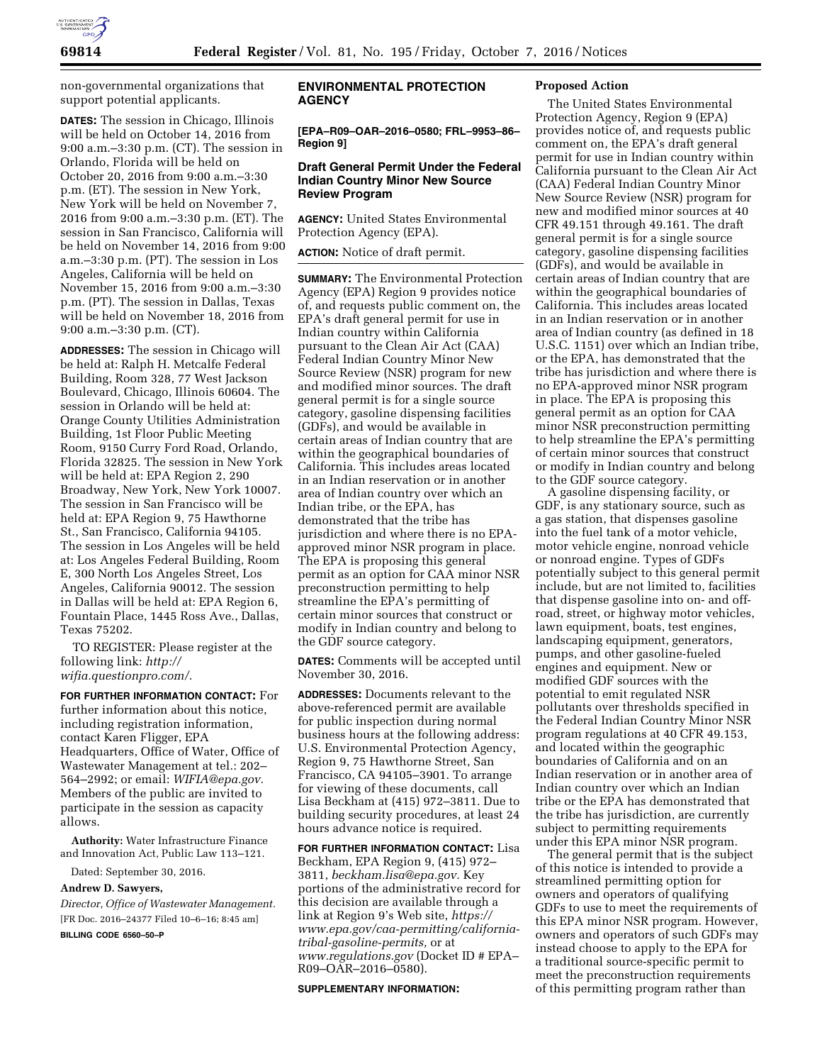

non-governmental organizations that support potential applicants.

**DATES:** The session in Chicago, Illinois will be held on October 14, 2016 from 9:00 a.m.–3:30 p.m. (CT). The session in Orlando, Florida will be held on October 20, 2016 from 9:00 a.m.–3:30 p.m. (ET). The session in New York, New York will be held on November 7, 2016 from 9:00 a.m.–3:30 p.m. (ET). The session in San Francisco, California will be held on November 14, 2016 from 9:00 a.m.–3:30 p.m. (PT). The session in Los Angeles, California will be held on November 15, 2016 from 9:00 a.m.–3:30 p.m. (PT). The session in Dallas, Texas will be held on November 18, 2016 from 9:00 a.m.–3:30 p.m. (CT).

**ADDRESSES:** The session in Chicago will be held at: Ralph H. Metcalfe Federal Building, Room 328, 77 West Jackson Boulevard, Chicago, Illinois 60604. The session in Orlando will be held at: Orange County Utilities Administration Building, 1st Floor Public Meeting Room, 9150 Curry Ford Road, Orlando, Florida 32825. The session in New York will be held at: EPA Region 2, 290 Broadway, New York, New York 10007. The session in San Francisco will be held at: EPA Region 9, 75 Hawthorne St., San Francisco, California 94105. The session in Los Angeles will be held at: Los Angeles Federal Building, Room E, 300 North Los Angeles Street, Los Angeles, California 90012. The session in Dallas will be held at: EPA Region 6, Fountain Place, 1445 Ross Ave., Dallas, Texas 75202.

TO REGISTER: Please register at the following link: *[http://](http://wifia.questionpro.com/) [wifia.questionpro.com/](http://wifia.questionpro.com/)*.

**FOR FURTHER INFORMATION CONTACT:** For further information about this notice, including registration information, contact Karen Fligger, EPA Headquarters, Office of Water, Office of Wastewater Management at tel.: 202– 564–2992; or email: *[WIFIA@epa.gov.](mailto:WIFIA@epa.gov)*  Members of the public are invited to participate in the session as capacity allows.

**Authority:** Water Infrastructure Finance and Innovation Act, Public Law 113–121.

Dated: September 30, 2016.

### **Andrew D. Sawyers,**

*Director, Office of Wastewater Management.*  [FR Doc. 2016–24377 Filed 10–6–16; 8:45 am]

**BILLING CODE 6560–50–P** 

# **ENVIRONMENTAL PROTECTION AGENCY**

**[EPA–R09–OAR–2016–0580; FRL–9953–86– Region 9]** 

## **Draft General Permit Under the Federal Indian Country Minor New Source Review Program**

**AGENCY:** United States Environmental Protection Agency (EPA).

**ACTION:** Notice of draft permit.

**SUMMARY:** The Environmental Protection Agency (EPA) Region 9 provides notice of, and requests public comment on, the EPA's draft general permit for use in Indian country within California pursuant to the Clean Air Act (CAA) Federal Indian Country Minor New Source Review (NSR) program for new and modified minor sources. The draft general permit is for a single source category, gasoline dispensing facilities (GDFs), and would be available in certain areas of Indian country that are within the geographical boundaries of California. This includes areas located in an Indian reservation or in another area of Indian country over which an Indian tribe, or the EPA, has demonstrated that the tribe has jurisdiction and where there is no EPAapproved minor NSR program in place. The EPA is proposing this general permit as an option for CAA minor NSR preconstruction permitting to help streamline the EPA's permitting of certain minor sources that construct or modify in Indian country and belong to the GDF source category.

**DATES:** Comments will be accepted until November 30, 2016.

**ADDRESSES:** Documents relevant to the above-referenced permit are available for public inspection during normal business hours at the following address: U.S. Environmental Protection Agency, Region 9, 75 Hawthorne Street, San Francisco, CA 94105–3901. To arrange for viewing of these documents, call Lisa Beckham at (415) 972–3811. Due to building security procedures, at least 24 hours advance notice is required.

**FOR FURTHER INFORMATION CONTACT:** Lisa Beckham, EPA Region 9, (415) 972– 3811, *[beckham.lisa@epa.gov.](mailto:beckham.lisa@epa.gov)* Key portions of the administrative record for this decision are available through a link at Region 9's Web site, *[https://](https://www.epa.gov/caa-permitting/california-tribal-gasoline-permits) [www.epa.gov/caa-permitting/california](https://www.epa.gov/caa-permitting/california-tribal-gasoline-permits)[tribal-gasoline-permits,](https://www.epa.gov/caa-permitting/california-tribal-gasoline-permits)* or at *[www.regulations.gov](http://www.regulations.gov)* (Docket ID # EPA– R09–OAR–2016–0580).

#### **SUPPLEMENTARY INFORMATION:**

#### **Proposed Action**

The United States Environmental Protection Agency, Region 9 (EPA) provides notice of, and requests public comment on, the EPA's draft general permit for use in Indian country within California pursuant to the Clean Air Act (CAA) Federal Indian Country Minor New Source Review (NSR) program for new and modified minor sources at 40 CFR 49.151 through 49.161. The draft general permit is for a single source category, gasoline dispensing facilities (GDFs), and would be available in certain areas of Indian country that are within the geographical boundaries of California. This includes areas located in an Indian reservation or in another area of Indian country (as defined in 18 U.S.C. 1151) over which an Indian tribe, or the EPA, has demonstrated that the tribe has jurisdiction and where there is no EPA-approved minor NSR program in place. The EPA is proposing this general permit as an option for CAA minor NSR preconstruction permitting to help streamline the EPA's permitting of certain minor sources that construct or modify in Indian country and belong to the GDF source category.

A gasoline dispensing facility, or GDF, is any stationary source, such as a gas station, that dispenses gasoline into the fuel tank of a motor vehicle, motor vehicle engine, nonroad vehicle or nonroad engine. Types of GDFs potentially subject to this general permit include, but are not limited to, facilities that dispense gasoline into on- and offroad, street, or highway motor vehicles, lawn equipment, boats, test engines, landscaping equipment, generators, pumps, and other gasoline-fueled engines and equipment. New or modified GDF sources with the potential to emit regulated NSR pollutants over thresholds specified in the Federal Indian Country Minor NSR program regulations at 40 CFR 49.153, and located within the geographic boundaries of California and on an Indian reservation or in another area of Indian country over which an Indian tribe or the EPA has demonstrated that the tribe has jurisdiction, are currently subject to permitting requirements under this EPA minor NSR program.

The general permit that is the subject of this notice is intended to provide a streamlined permitting option for owners and operators of qualifying GDFs to use to meet the requirements of this EPA minor NSR program. However, owners and operators of such GDFs may instead choose to apply to the EPA for a traditional source-specific permit to meet the preconstruction requirements of this permitting program rather than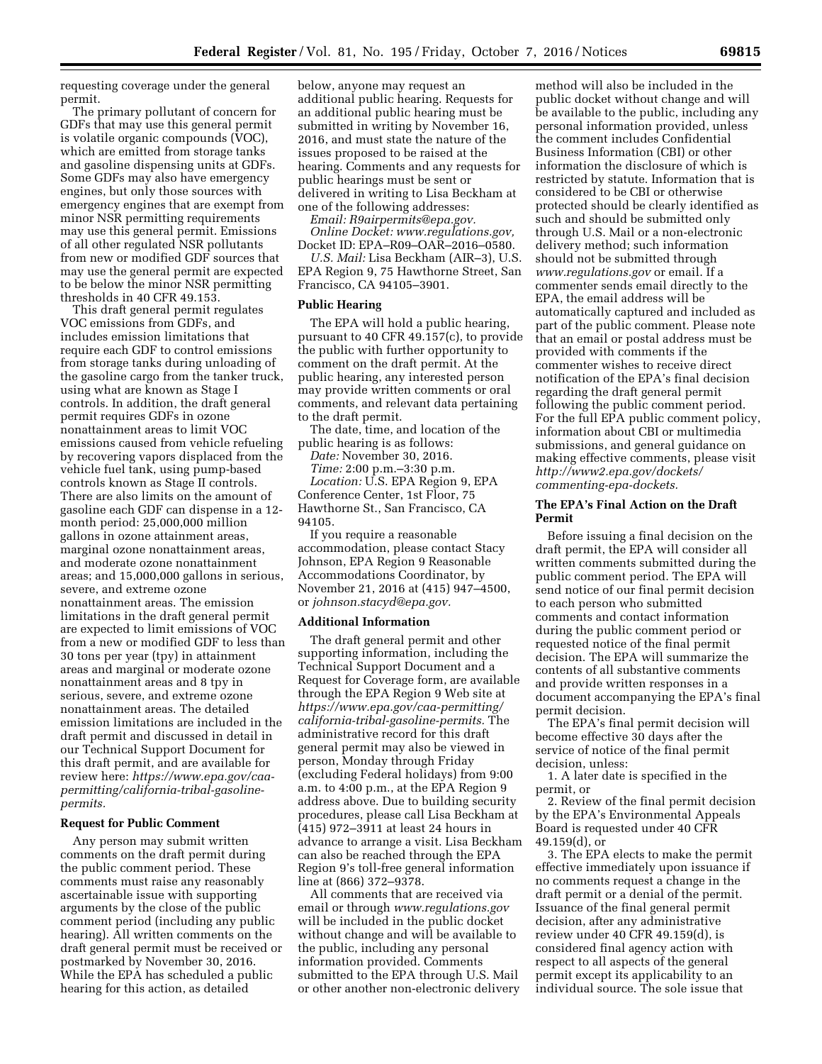requesting coverage under the general permit.

The primary pollutant of concern for GDFs that may use this general permit is volatile organic compounds (VOC), which are emitted from storage tanks and gasoline dispensing units at GDFs. Some GDFs may also have emergency engines, but only those sources with emergency engines that are exempt from minor NSR permitting requirements may use this general permit. Emissions of all other regulated NSR pollutants from new or modified GDF sources that may use the general permit are expected to be below the minor NSR permitting thresholds in 40 CFR 49.153.

This draft general permit regulates VOC emissions from GDFs, and includes emission limitations that require each GDF to control emissions from storage tanks during unloading of the gasoline cargo from the tanker truck, using what are known as Stage I controls. In addition, the draft general permit requires GDFs in ozone nonattainment areas to limit VOC emissions caused from vehicle refueling by recovering vapors displaced from the vehicle fuel tank, using pump-based controls known as Stage II controls. There are also limits on the amount of gasoline each GDF can dispense in a 12 month period: 25,000,000 million gallons in ozone attainment areas, marginal ozone nonattainment areas, and moderate ozone nonattainment areas; and 15,000,000 gallons in serious, severe, and extreme ozone nonattainment areas. The emission limitations in the draft general permit are expected to limit emissions of VOC from a new or modified GDF to less than 30 tons per year (tpy) in attainment areas and marginal or moderate ozone nonattainment areas and 8 tpy in serious, severe, and extreme ozone nonattainment areas. The detailed emission limitations are included in the draft permit and discussed in detail in our Technical Support Document for this draft permit, and are available for review here: *[https://www.epa.gov/caa](https://www.epa.gov/caa-permitting/california-tribal-gasoline-permits)[permitting/california-tribal-gasoline](https://www.epa.gov/caa-permitting/california-tribal-gasoline-permits)[permits.](https://www.epa.gov/caa-permitting/california-tribal-gasoline-permits)* 

# **Request for Public Comment**

Any person may submit written comments on the draft permit during the public comment period. These comments must raise any reasonably ascertainable issue with supporting arguments by the close of the public comment period (including any public hearing). All written comments on the draft general permit must be received or postmarked by November 30, 2016. While the EPA has scheduled a public hearing for this action, as detailed

below, anyone may request an additional public hearing. Requests for an additional public hearing must be submitted in writing by November 16, 2016, and must state the nature of the issues proposed to be raised at the hearing. Comments and any requests for public hearings must be sent or delivered in writing to Lisa Beckham at one of the following addresses:

*Email: [R9airpermits@epa.gov.](mailto:R9airpermits@epa.gov)* 

*Online Docket: [www.regulations.gov,](http://www.regulations.gov)*  Docket ID: EPA–R09–OAR–2016–0580.

*U.S. Mail:* Lisa Beckham (AIR–3), U.S. EPA Region 9, 75 Hawthorne Street, San Francisco, CA 94105–3901.

## **Public Hearing**

The EPA will hold a public hearing, pursuant to 40 CFR 49.157(c), to provide the public with further opportunity to comment on the draft permit. At the public hearing, any interested person may provide written comments or oral comments, and relevant data pertaining to the draft permit.

The date, time, and location of the public hearing is as follows:

*Date:* November 30, 2016. *Time:* 2:00 p.m.–3:30 p.m. *Location:* U.S. EPA Region 9, EPA Conference Center, 1st Floor, 75 Hawthorne St., San Francisco, CA 94105.

If you require a reasonable accommodation, please contact Stacy Johnson, EPA Region 9 Reasonable Accommodations Coordinator, by November 21, 2016 at (415) 947–4500, or *[johnson.stacyd@epa.gov.](mailto:johnson.stacyd@epa.gov)* 

#### **Additional Information**

The draft general permit and other supporting information, including the Technical Support Document and a Request for Coverage form, are available through the EPA Region 9 Web site at *[https://www.epa.gov/caa-permitting/](https://www.epa.gov/caa-permitting/california-tribal-gasoline-permits)  [california-tribal-gasoline-permits.](https://www.epa.gov/caa-permitting/california-tribal-gasoline-permits)* The administrative record for this draft general permit may also be viewed in person, Monday through Friday (excluding Federal holidays) from 9:00 a.m. to 4:00 p.m., at the EPA Region 9 address above. Due to building security procedures, please call Lisa Beckham at (415) 972–3911 at least 24 hours in advance to arrange a visit. Lisa Beckham can also be reached through the EPA Region 9's toll-free general information line at (866) 372–9378.

All comments that are received via email or through *[www.regulations.gov](http://www.regulations.gov)*  will be included in the public docket without change and will be available to the public, including any personal information provided. Comments submitted to the EPA through U.S. Mail or other another non-electronic delivery

method will also be included in the public docket without change and will be available to the public, including any personal information provided, unless the comment includes Confidential Business Information (CBI) or other information the disclosure of which is restricted by statute. Information that is considered to be CBI or otherwise protected should be clearly identified as such and should be submitted only through U.S. Mail or a non-electronic delivery method; such information should not be submitted through *[www.regulations.gov](http://www.regulations.gov)* or email. If a commenter sends email directly to the EPA, the email address will be automatically captured and included as part of the public comment. Please note that an email or postal address must be provided with comments if the commenter wishes to receive direct notification of the EPA's final decision regarding the draft general permit following the public comment period. For the full EPA public comment policy, information about CBI or multimedia submissions, and general guidance on making effective comments, please visit *[http://www2.epa.gov/dockets/](http://www2.epa.gov/dockets/commenting-epa-dockets)  [commenting-epa-dockets.](http://www2.epa.gov/dockets/commenting-epa-dockets)* 

# **The EPA's Final Action on the Draft Permit**

Before issuing a final decision on the draft permit, the EPA will consider all written comments submitted during the public comment period. The EPA will send notice of our final permit decision to each person who submitted comments and contact information during the public comment period or requested notice of the final permit decision. The EPA will summarize the contents of all substantive comments and provide written responses in a document accompanying the EPA's final permit decision.

The EPA's final permit decision will become effective 30 days after the service of notice of the final permit decision, unless:

1. A later date is specified in the permit, or

2. Review of the final permit decision by the EPA's Environmental Appeals Board is requested under 40 CFR 49.159(d), or

3. The EPA elects to make the permit effective immediately upon issuance if no comments request a change in the draft permit or a denial of the permit. Issuance of the final general permit decision, after any administrative review under 40 CFR 49.159(d), is considered final agency action with respect to all aspects of the general permit except its applicability to an individual source. The sole issue that